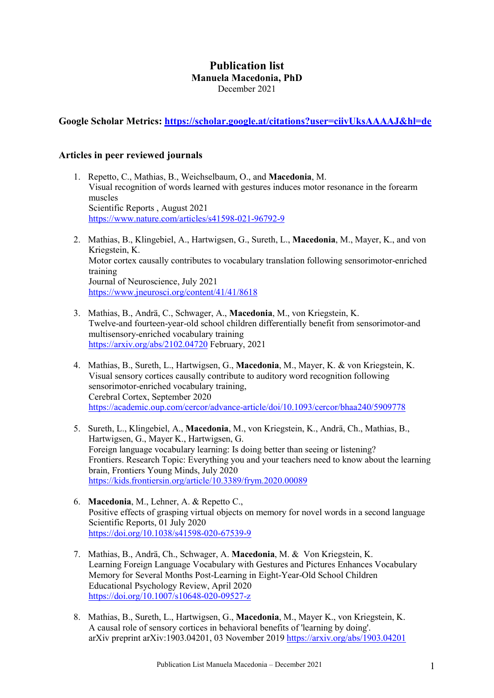# Publication list Manuela Macedonia, PhD December 2021

Google Scholar Metrics: https://scholar.google.at/citations?user=ciivUksAAAAJ&hl=de

# Articles in peer reviewed journals

- 1. Repetto, C., Mathias, B., Weichselbaum, O., and Macedonia, M. Visual recognition of words learned with gestures induces motor resonance in the forearm muscles Scientific Reports , August 2021 https://www.nature.com/articles/s41598-021-96792-9
- 2. Mathias, B., Klingebiel, A., Hartwigsen, G., Sureth, L., Macedonia, M., Mayer, K., and von Kriegstein, K. Motor cortex causally contributes to vocabulary translation following sensorimotor-enriched training Journal of Neuroscience, July 2021 https://www.jneurosci.org/content/41/41/8618
- 3. Mathias, B., Andrä, C., Schwager, A., Macedonia, M., von Kriegstein, K. Twelve-and fourteen-year-old school children differentially benefit from sensorimotor-and multisensory-enriched vocabulary training https://arxiv.org/abs/2102.04720 February, 2021
- 4. Mathias, B., Sureth, L., Hartwigsen, G., Macedonia, M., Mayer, K. & von Kriegstein, K. Visual sensory cortices causally contribute to auditory word recognition following sensorimotor-enriched vocabulary training, Cerebral Cortex, September 2020 https://academic.oup.com/cercor/advance-article/doi/10.1093/cercor/bhaa240/5909778
- 5. Sureth, L., Klingebiel, A., Macedonia, M., von Kriegstein, K., Andrä, Ch., Mathias, B., Hartwigsen, G., Mayer K., Hartwigsen, G. Foreign language vocabulary learning: Is doing better than seeing or listening? Frontiers. Research Topic: Everything you and your teachers need to know about the learning brain, Frontiers Young Minds, July 2020 https://kids.frontiersin.org/article/10.3389/frym.2020.00089
- 6. Macedonia, M., Lehner, A. & Repetto C., Positive effects of grasping virtual objects on memory for novel words in a second language Scientific Reports, 01 July 2020 https://doi.org/10.1038/s41598-020-67539-9
- 7. Mathias, B., Andrä, Ch., Schwager, A. Macedonia, M. & Von Kriegstein, K. Learning Foreign Language Vocabulary with Gestures and Pictures Enhances Vocabulary Memory for Several Months Post-Learning in Eight-Year-Old School Children Educational Psychology Review, April 2020 https://doi.org/10.1007/s10648-020-09527-z
- 8. Mathias, B., Sureth, L., Hartwigsen, G., Macedonia, M., Mayer K., von Kriegstein, K. A causal role of sensory cortices in behavioral benefits of 'learning by doing'. arXiv preprint arXiv:1903.04201, 03 November 2019 https://arxiv.org/abs/1903.04201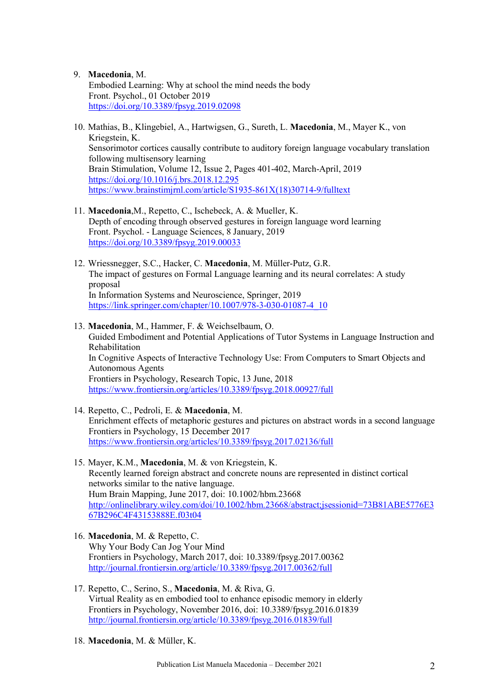### 9. Macedonia, M.

Embodied Learning: Why at school the mind needs the body Front. Psychol., 01 October 2019 https://doi.org/10.3389/fpsyg.2019.02098

- 10. Mathias, B., Klingebiel, A., Hartwigsen, G., Sureth, L. Macedonia, M., Mayer K., von Kriegstein, K. Sensorimotor cortices causally contribute to auditory foreign language vocabulary translation following multisensory learning Brain Stimulation, Volume 12, Issue 2, Pages 401-402, March-April, 2019 https://doi.org/10.1016/j.brs.2018.12.295 https://www.brainstimjrnl.com/article/S1935-861X(18)30714-9/fulltext
- 11. Macedonia,M., Repetto, C., Ischebeck, A. & Mueller, K. Depth of encoding through observed gestures in foreign language word learning Front. Psychol. - Language Sciences, 8 January, 2019 https://doi.org/10.3389/fpsyg.2019.00033
- 12. Wriessnegger, S.C., Hacker, C. Macedonia, M. Müller-Putz, G.R. The impact of gestures on Formal Language learning and its neural correlates: A study proposal In Information Systems and Neuroscience, Springer, 2019 https://link.springer.com/chapter/10.1007/978-3-030-01087-4\_10
- 13. Macedonia, M., Hammer, F. & Weichselbaum, O. Guided Embodiment and Potential Applications of Tutor Systems in Language Instruction and Rehabilitation In Cognitive Aspects of Interactive Technology Use: From Computers to Smart Objects and Autonomous Agents Frontiers in Psychology, Research Topic, 13 June, 2018 https://www.frontiersin.org/articles/10.3389/fpsyg.2018.00927/full
- 14. Repetto, C., Pedroli, E. & Macedonia, M. Enrichment effects of metaphoric gestures and pictures on abstract words in a second language Frontiers in Psychology, 15 December 2017 https://www.frontiersin.org/articles/10.3389/fpsyg.2017.02136/full
- 15. Mayer, K.M., Macedonia, M. & von Kriegstein, K. Recently learned foreign abstract and concrete nouns are represented in distinct cortical networks similar to the native language. Hum Brain Mapping, June 2017, doi: 10.1002/hbm.23668 http://onlinelibrary.wiley.com/doi/10.1002/hbm.23668/abstract;jsessionid=73B81ABE5776E3 67B296C4F43153888E.f03t04
- 16. Macedonia, M. & Repetto, C. Why Your Body Can Jog Your Mind Frontiers in Psychology, March 2017, doi: 10.3389/fpsyg.2017.00362 http://journal.frontiersin.org/article/10.3389/fpsyg.2017.00362/full
- 17. Repetto, C., Serino, S., Macedonia, M. & Riva, G. Virtual Reality as en embodied tool to enhance episodic memory in elderly Frontiers in Psychology, November 2016, doi: 10.3389/fpsyg.2016.01839 http://journal.frontiersin.org/article/10.3389/fpsyg.2016.01839/full
- 18. Macedonia, M. & Müller, K.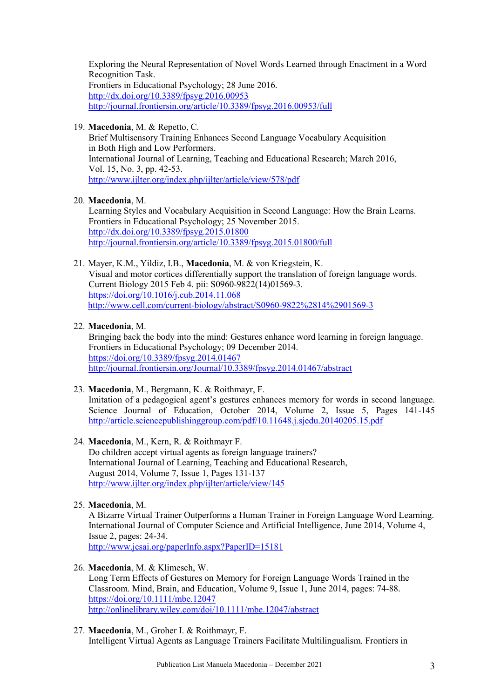Exploring the Neural Representation of Novel Words Learned through Enactment in a Word Recognition Task. Frontiers in Educational Psychology; 28 June 2016. http://dx.doi.org/10.3389/fpsyg.2016.00953 http://journal.frontiersin.org/article/10.3389/fpsyg.2016.00953/full

### 19. Macedonia, M. & Repetto, C.

Brief Multisensory Training Enhances Second Language Vocabulary Acquisition in Both High and Low Performers. International Journal of Learning, Teaching and Educational Research; March 2016, Vol. 15, No. 3, pp. 42-53. http://www.ijlter.org/index.php/ijlter/article/view/578/pdf

### 20. Macedonia, M.

Learning Styles and Vocabulary Acquisition in Second Language: How the Brain Learns. Frontiers in Educational Psychology; 25 November 2015. http://dx.doi.org/10.3389/fpsyg.2015.01800 http://journal.frontiersin.org/article/10.3389/fpsyg.2015.01800/full

21. Mayer, K.M., Yildiz, I.B., Macedonia, M. & von Kriegstein, K. Visual and motor cortices differentially support the translation of foreign language words. Current Biology 2015 Feb 4. pii: S0960-9822(14)01569-3. https://doi.org/10.1016/j.cub.2014.11.068 http://www.cell.com/current-biology/abstract/S0960-9822%2814%2901569-3

### 22. Macedonia, M.

Bringing back the body into the mind: Gestures enhance word learning in foreign language. Frontiers in Educational Psychology; 09 December 2014. https://doi.org/10.3389/fpsyg.2014.01467 http://journal.frontiersin.org/Journal/10.3389/fpsyg.2014.01467/abstract

## 23. Macedonia, M., Bergmann, K. & Roithmayr, F.

Imitation of a pedagogical agent's gestures enhances memory for words in second language. Science Journal of Education, October 2014, Volume 2, Issue 5, Pages 141-145 http://article.sciencepublishinggroup.com/pdf/10.11648.j.sjedu.20140205.15.pdf

# 24. Macedonia, M., Kern, R. & Roithmayr F.

Do children accept virtual agents as foreign language trainers? International Journal of Learning, Teaching and Educational Research, August 2014, Volume 7, Issue 1, Pages 131-137 http://www.ijlter.org/index.php/ijlter/article/view/145

#### 25. Macedonia, M.

A Bizarre Virtual Trainer Outperforms a Human Trainer in Foreign Language Word Learning. International Journal of Computer Science and Artificial Intelligence, June 2014, Volume 4, Issue 2, pages: 24-34. http://www.jcsai.org/paperInfo.aspx?PaperID=15181

#### 26. Macedonia, M. & Klimesch, W.

Long Term Effects of Gestures on Memory for Foreign Language Words Trained in the Classroom. Mind, Brain, and Education, Volume 9, Issue 1, June 2014, pages: 74-88. https://doi.org/10.1111/mbe.12047 http://onlinelibrary.wiley.com/doi/10.1111/mbe.12047/abstract

27. Macedonia, M., Groher I. & Roithmayr, F. Intelligent Virtual Agents as Language Trainers Facilitate Multilingualism. Frontiers in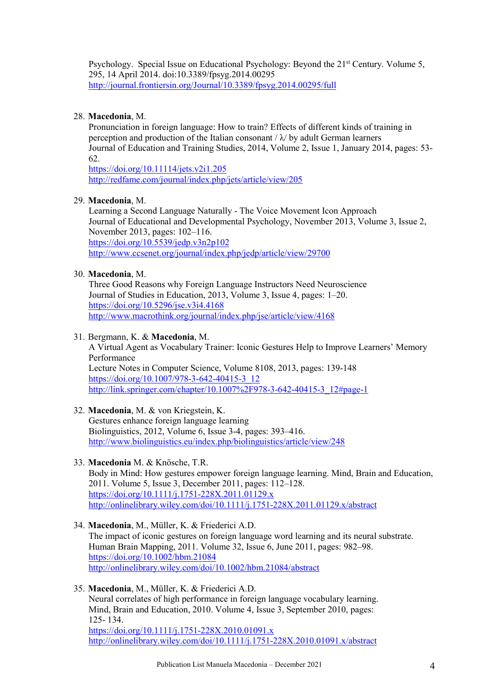Psychology. Special Issue on Educational Psychology: Beyond the 21<sup>st</sup> Century. Volume 5, 295, 14 April 2014. doi:10.3389/fpsyg.2014.00295 http://journal.frontiersin.org/Journal/10.3389/fpsyg.2014.00295/full

## 28. Macedonia, M.

Pronunciation in foreign language: How to train? Effects of different kinds of training in perception and production of the Italian consonant  $\lambda$  by adult German learners Journal of Education and Training Studies, 2014, Volume 2, Issue 1, January 2014, pages: 53- 62.

https://doi.org/10.11114/jets.v2i1.205 http://redfame.com/journal/index.php/jets/article/view/205

#### 29. Macedonia, M.

Learning a Second Language Naturally - The Voice Movement Icon Approach Journal of Educational and Developmental Psychology, November 2013, Volume 3, Issue 2, November 2013, pages: 102–116. https://doi.org/10.5539/jedp.v3n2p102 http://www.ccsenet.org/journal/index.php/jedp/article/view/29700

### 30. Macedonia, M.

Three Good Reasons why Foreign Language Instructors Need Neuroscience Journal of Studies in Education, 2013, Volume 3, Issue 4, pages: 1–20. https://doi.org/10.5296/jse.v3i4.4168 http://www.macrothink.org/journal/index.php/jse/article/view/4168

### 31. Bergmann, K. & Macedonia, M.

A Virtual Agent as Vocabulary Trainer: Iconic Gestures Help to Improve Learners' Memory Performance Lecture Notes in Computer Science, Volume 8108, 2013, pages: 139-148 https://doi.org/10.1007/978-3-642-40415-3\_12 http://link.springer.com/chapter/10.1007%2F978-3-642-40415-3\_12#page-1

## 32. Macedonia, M. & von Kriegstein, K.

Gestures enhance foreign language learning Biolinguistics, 2012, Volume 6, Issue 3-4, pages: 393–416. http://www.biolinguistics.eu/index.php/biolinguistics/article/view/248

#### 33. Macedonia M. & Knösche, T.R.

Body in Mind: How gestures empower foreign language learning. Mind, Brain and Education, 2011. Volume 5, Issue 3, December 2011, pages: 112–128. https://doi.org/10.1111/j.1751-228X.2011.01129.x http://onlinelibrary.wiley.com/doi/10.1111/j.1751-228X.2011.01129.x/abstract

34. Macedonia, M., Müller, K. & Friederici A.D.

The impact of iconic gestures on foreign language word learning and its neural substrate. Human Brain Mapping, 2011. Volume 32, Issue 6, June 2011, pages: 982–98. https://doi.org/10.1002/hbm.21084 http://onlinelibrary.wiley.com/doi/10.1002/hbm.21084/abstract

35. Macedonia, M., Müller, K. & Friederici A.D.

Neural correlates of high performance in foreign language vocabulary learning. Mind, Brain and Education, 2010. Volume 4, Issue 3, September 2010, pages: 125- 134.

https://doi.org/10.1111/j.1751-228X.2010.01091.x http://onlinelibrary.wiley.com/doi/10.1111/j.1751-228X.2010.01091.x/abstract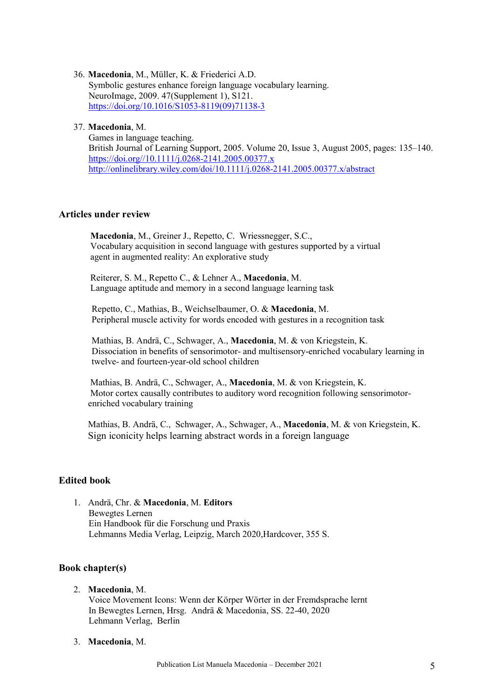36. Macedonia, M., Müller, K. & Friederici A.D. Symbolic gestures enhance foreign language vocabulary learning. NeuroImage, 2009. 47(Supplement 1), S121. https://doi.org/10.1016/S1053-8119(09)71138-3

#### 37. Macedonia, M.

Games in language teaching. British Journal of Learning Support, 2005. Volume 20, Issue 3, August 2005, pages: 135–140. https://doi.org//10.1111/j.0268-2141.2005.00377.x http://onlinelibrary.wiley.com/doi/10.1111/j.0268-2141.2005.00377.x/abstract

## Articles under review

Macedonia, M., Greiner J., Repetto, C. Wriessnegger, S.C., Vocabulary acquisition in second language with gestures supported by a virtual agent in augmented reality: An explorative study

 Reiterer, S. M., Repetto C., & Lehner A., Macedonia, M. Language aptitude and memory in a second language learning task

Repetto, C., Mathias, B., Weichselbaumer, O. & Macedonia, M. Peripheral muscle activity for words encoded with gestures in a recognition task

Mathias, B. Andrä, C., Schwager, A., Macedonia, M. & von Kriegstein, K. Dissociation in benefits of sensorimotor- and multisensory-enriched vocabulary learning in twelve- and fourteen-year-old school children

 Mathias, B. Andrä, C., Schwager, A., Macedonia, M. & von Kriegstein, K. Motor cortex causally contributes to auditory word recognition following sensorimotorenriched vocabulary training

Mathias, B. Andrä, C., Schwager, A., Schwager, A., Macedonia, M. & von Kriegstein, K. Sign iconicity helps learning abstract words in a foreign language

## Edited book

1. Andrä, Chr. & Macedonia, M. Editors Bewegtes Lernen Ein Handbook für die Forschung und Praxis Lehmanns Media Verlag, Leipzig, March 2020,Hardcover, 355 S.

## Book chapter(s)

2. Macedonia, M.

Voice Movement Icons: Wenn der Körper Wörter in der Fremdsprache lernt In Bewegtes Lernen, Hrsg. Andrä & Macedonia, SS. 22-40, 2020 Lehmann Verlag, Berlin

3. Macedonia, M.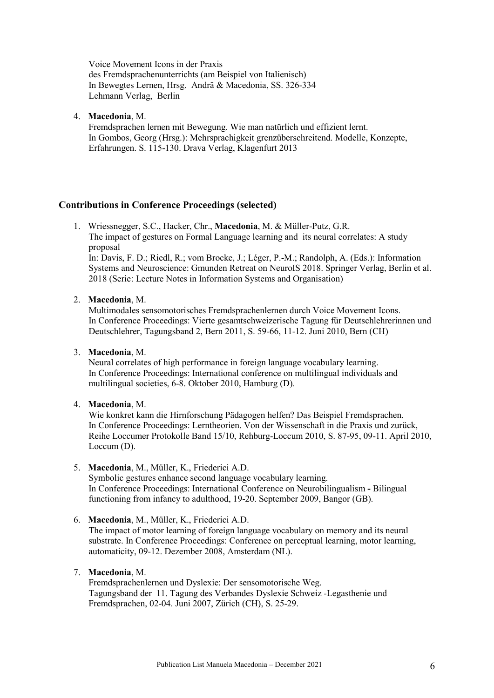Voice Movement Icons in der Praxis des Fremdsprachenunterrichts (am Beispiel von Italienisch) In Bewegtes Lernen, Hrsg. Andrä & Macedonia, SS. 326-334 Lehmann Verlag, Berlin

4. Macedonia, M.

Fremdsprachen lernen mit Bewegung. Wie man natürlich und effizient lernt. In Gombos, Georg (Hrsg.): Mehrsprachigkeit grenzüberschreitend. Modelle, Konzepte, Erfahrungen. S. 115-130. Drava Verlag, Klagenfurt 2013

## Contributions in Conference Proceedings (selected)

1. Wriessnegger, S.C., Hacker, Chr., Macedonia, M. & Müller-Putz, G.R. The impact of gestures on Formal Language learning and its neural correlates: A study proposal

In: Davis, F. D.; Riedl, R.; vom Brocke, J.; Léger, P.-M.; Randolph, A. (Eds.): Information Systems and Neuroscience: Gmunden Retreat on NeuroIS 2018. Springer Verlag, Berlin et al. 2018 (Serie: Lecture Notes in Information Systems and Organisation)

### 2. Macedonia, M.

Multimodales sensomotorisches Fremdsprachenlernen durch Voice Movement Icons. In Conference Proceedings: Vierte gesamtschweizerische Tagung für Deutschlehrerinnen und Deutschlehrer, Tagungsband 2, Bern 2011, S. 59-66, 11-12. Juni 2010, Bern (CH)

3. Macedonia, M.

Neural correlates of high performance in foreign language vocabulary learning. In Conference Proceedings: International conference on multilingual individuals and multilingual societies, 6-8. Oktober 2010, Hamburg (D).

4. Macedonia, M.

Wie konkret kann die Hirnforschung Pädagogen helfen? Das Beispiel Fremdsprachen. In Conference Proceedings: Lerntheorien. Von der Wissenschaft in die Praxis und zurück, Reihe Loccumer Protokolle Band 15/10, Rehburg-Loccum 2010, S. 87-95, 09-11. April 2010, Loccum (D).

5. Macedonia, M., Müller, K., Friederici A.D.

Symbolic gestures enhance second language vocabulary learning. In Conference Proceedings: International Conference on Neurobilingualism - Bilingual functioning from infancy to adulthood, 19-20. September 2009, Bangor (GB).

6. Macedonia, M., Müller, K., Friederici A.D.

The impact of motor learning of foreign language vocabulary on memory and its neural substrate. In Conference Proceedings: Conference on perceptual learning, motor learning, automaticity, 09-12. Dezember 2008, Amsterdam (NL).

## 7. Macedonia, M.

Fremdsprachenlernen und Dyslexie: Der sensomotorische Weg. Tagungsband der 11. Tagung des Verbandes Dyslexie Schweiz -Legasthenie und Fremdsprachen, 02-04. Juni 2007, Zürich (CH), S. 25-29.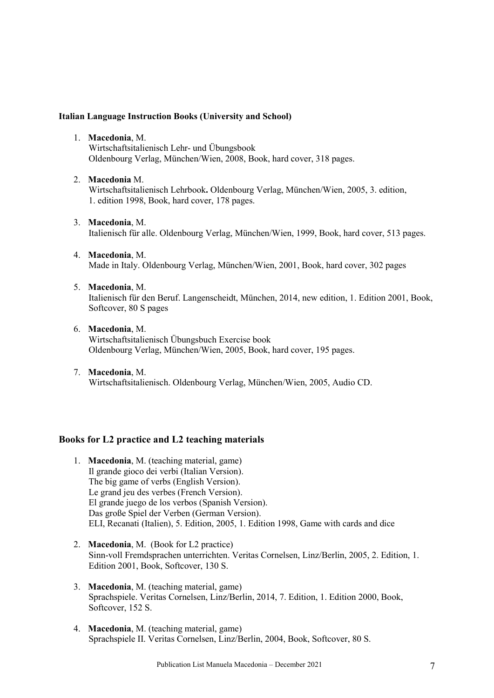#### Italian Language Instruction Books (University and School)

1. Macedonia, M.

Wirtschaftsitalienisch Lehr- und Übungsbook Oldenbourg Verlag, München/Wien, 2008, Book, hard cover, 318 pages.

- 2. Macedonia M. Wirtschaftsitalienisch Lehrbook. Oldenbourg Verlag, München/Wien, 2005, 3. edition, 1. edition 1998, Book, hard cover, 178 pages.
- 3. Macedonia, M. Italienisch für alle. Oldenbourg Verlag, München/Wien, 1999, Book, hard cover, 513 pages.
- 4. Macedonia, M. Made in Italy. Oldenbourg Verlag, München/Wien, 2001, Book, hard cover, 302 pages
- 5. Macedonia, M. Italienisch für den Beruf. Langenscheidt, München, 2014, new edition, 1. Edition 2001, Book, Softcover, 80 S pages
- 6. Macedonia, M. Wirtschaftsitalienisch Übungsbuch Exercise book Oldenbourg Verlag, München/Wien, 2005, Book, hard cover, 195 pages.
- 7. Macedonia, M. Wirtschaftsitalienisch. Oldenbourg Verlag, München/Wien, 2005, Audio CD.

#### Books for L2 practice and L2 teaching materials

- 1. Macedonia, M. (teaching material, game) Il grande gioco dei verbi (Italian Version). The big game of verbs (English Version). Le grand jeu des verbes (French Version). El grande juego de los verbos (Spanish Version). Das große Spiel der Verben (German Version). ELI, Recanati (Italien), 5. Edition, 2005, 1. Edition 1998, Game with cards and dice
- 2. Macedonia, M. (Book for L2 practice) Sinn-voll Fremdsprachen unterrichten. Veritas Cornelsen, Linz/Berlin, 2005, 2. Edition, 1. Edition 2001, Book, Softcover, 130 S.
- 3. Macedonia, M. (teaching material, game) Sprachspiele. Veritas Cornelsen, Linz/Berlin, 2014, 7. Edition, 1. Edition 2000, Book, Softcover, 152 S.
- 4. Macedonia, M. (teaching material, game) Sprachspiele II. Veritas Cornelsen, Linz/Berlin, 2004, Book, Softcover, 80 S.